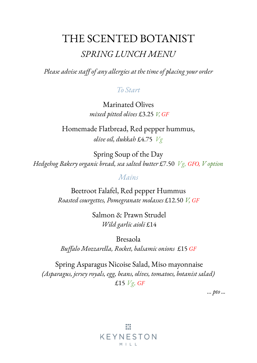# THE SCENTED BOTANIST *SPRING LUNCH MENU*

*Please advise staff of any allergies at the time of placing your order*

### *To Start*

Marinated Olives *mixed pitted olives* £3.25 *V, GF*

Homemade Flatbread, Red pepper hummus, *olive oil, dukkah* £4.75 *Vg*

Spring Soup of the Day *Hedgehog Bakery organic bread, sea salted butter* £7.50 *Vg, GFO, V option*

### *Mains*

Beetroot Falafel, Red pepper Hummus *Roasted courgettes, Pomegranate molasses* £12.50 *V, GF*

> Salmon & Prawn Strudel *Wild garlic aioli* £14

Bresaola *Buffalo Mozzarella, Rocket, balsamic onions* £15 *GF*

Spring Asparagus Nicoise Salad, Miso mayonnaise *(Asparagus, jersey royals, egg, beans, olives, tomatoes, botanist salad)* £15 *Vg, GF*

*… pto ...*

亜 KEYNESTON  $M + L$